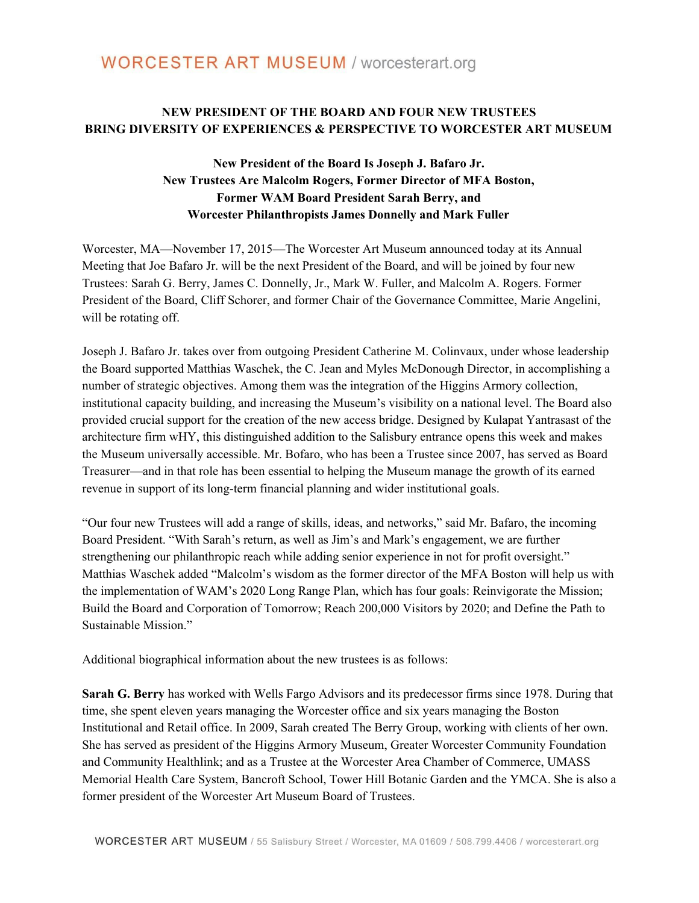## **NEW PRESIDENT OF THE BOARD AND FOUR NEW TRUSTEES BRING DIVERSITY OF EXPERIENCES & PERSPECTIVE TO WORCESTER ART MUSEUM**

## **New President of the Board Is Joseph J. Bafaro Jr. New Trustees Are Malcolm Rogers, Former Director of MFA Boston, Former WAM Board President Sarah Berry, and Worcester Philanthropists James Donnelly and Mark Fuller**

Worcester, MA—November 17, 2015—The Worcester Art Museum announced today at its Annual Meeting that Joe Bafaro Jr. will be the next President of the Board, and will be joined by four new Trustees: Sarah G. Berry, James C. Donnelly, Jr., Mark W. Fuller, and Malcolm A. Rogers. Former President of the Board, Cliff Schorer, and former Chair of the Governance Committee, Marie Angelini, will be rotating off.

Joseph J. Bafaro Jr. takes over from outgoing President Catherine M. Colinvaux, under whose leadership the Board supported Matthias Waschek, the C. Jean and Myles McDonough Director, in accomplishing a number of strategic objectives. Among them was the integration of the Higgins Armory collection, institutional capacity building, and increasing the Museum's visibility on a national level. The Board also provided crucial support for the creation of the new access bridge. Designed by Kulapat Yantrasast of the architecture firm wHY, this distinguished addition to the Salisbury entrance opens this week and makes the Museum universally accessible. Mr. Bofaro, who has been a Trustee since 2007, has served as Board Treasurer—and in that role has been essential to helping the Museum manage the growth of its earned revenue in support of its long-term financial planning and wider institutional goals.

"Our four new Trustees will add a range of skills, ideas, and networks," said Mr. Bafaro, the incoming Board President. "With Sarah's return, as well as Jim's and Mark's engagement, we are further strengthening our philanthropic reach while adding senior experience in not for profit oversight." Matthias Waschek added "Malcolm's wisdom as the former director of the MFA Boston will help us with the implementation of WAM's 2020 Long Range Plan, which has four goals: Reinvigorate the Mission; Build the Board and Corporation of Tomorrow; Reach 200,000 Visitors by 2020; and Define the Path to Sustainable Mission."

Additional biographical information about the new trustees is as follows:

**Sarah G. Berry** has worked with Wells Fargo Advisors and its predecessor firms since 1978. During that time, she spent eleven years managing the Worcester office and six years managing the Boston Institutional and Retail office. In 2009, Sarah created The Berry Group, working with clients of her own. She has served as president of the Higgins Armory Museum, Greater Worcester Community Foundation and Community Healthlink; and as a Trustee at the Worcester Area Chamber of Commerce, UMASS Memorial Health Care System, Bancroft School, Tower Hill Botanic Garden and the YMCA. She is also a former president of the Worcester Art Museum Board of Trustees.